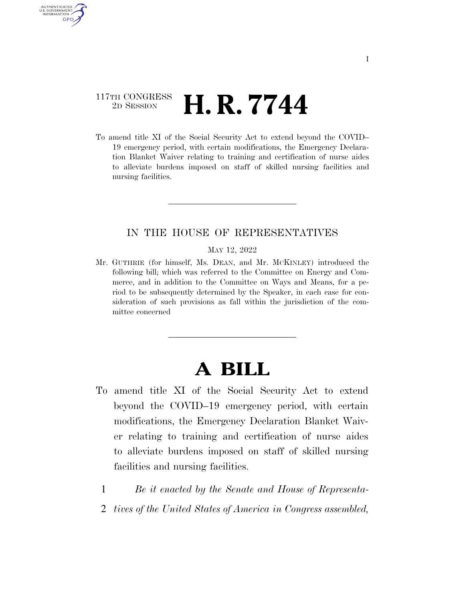## 117TH CONGRESS <sup>2D SESSION</sup> **H. R. 7744**

AUTHENTICATED U.S. GOVERNMENT **GPO** 

> To amend title XI of the Social Security Act to extend beyond the COVID– 19 emergency period, with certain modifications, the Emergency Declaration Blanket Waiver relating to training and certification of nurse aides to alleviate burdens imposed on staff of skilled nursing facilities and nursing facilities.

### IN THE HOUSE OF REPRESENTATIVES

#### MAY 12, 2022

Mr. GUTHRIE (for himself, Ms. DEAN, and Mr. MCKINLEY) introduced the following bill; which was referred to the Committee on Energy and Commerce, and in addition to the Committee on Ways and Means, for a period to be subsequently determined by the Speaker, in each case for consideration of such provisions as fall within the jurisdiction of the committee concerned

# **A BILL**

- To amend title XI of the Social Security Act to extend beyond the COVID–19 emergency period, with certain modifications, the Emergency Declaration Blanket Waiver relating to training and certification of nurse aides to alleviate burdens imposed on staff of skilled nursing facilities and nursing facilities.
	- 1 *Be it enacted by the Senate and House of Representa-*
	- 2 *tives of the United States of America in Congress assembled,*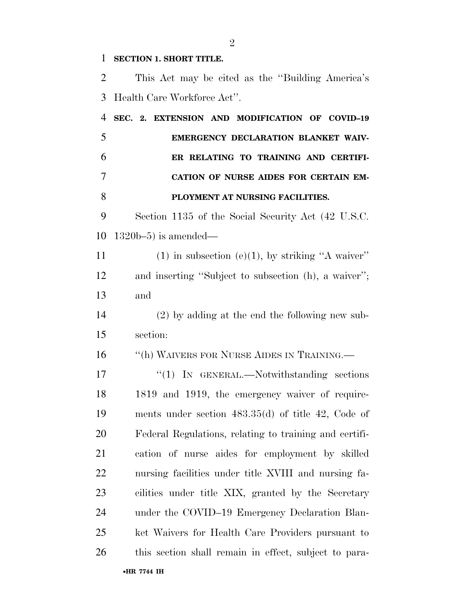#### **SECTION 1. SHORT TITLE.**

•**HR 7744 IH** This Act may be cited as the ''Building America's Health Care Workforce Act''. **SEC. 2. EXTENSION AND MODIFICATION OF COVID–19 EMERGENCY DECLARATION BLANKET WAIV- ER RELATING TO TRAINING AND CERTIFI- CATION OF NURSE AIDES FOR CERTAIN EM- PLOYMENT AT NURSING FACILITIES.**  Section 1135 of the Social Security Act (42 U.S.C. 1320b–5) is amended— 11 (1) in subsection (e)(1), by striking "A waiver" and inserting ''Subject to subsection (h), a waiver''; and (2) by adding at the end the following new sub- section: 16 "(h) WAIVERS FOR NURSE AIDES IN TRAINING. 17 "'(1) IN GENERAL.—Notwithstanding sections 1819 and 1919, the emergency waiver of require- ments under section 483.35(d) of title 42, Code of Federal Regulations, relating to training and certifi- cation of nurse aides for employment by skilled nursing facilities under title XVIII and nursing fa- cilities under title XIX, granted by the Secretary under the COVID–19 Emergency Declaration Blan- ket Waivers for Health Care Providers pursuant to this section shall remain in effect, subject to para-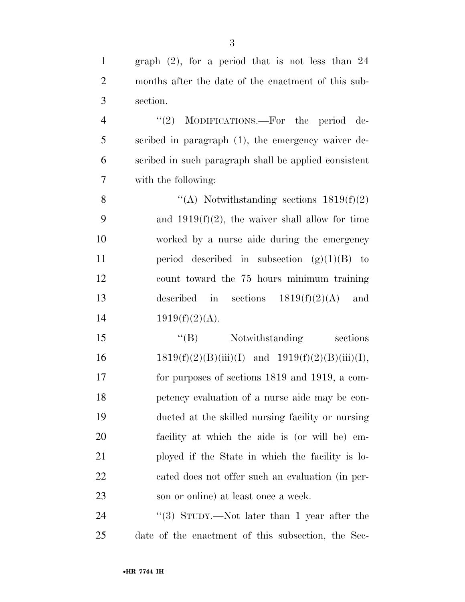| $\mathbf{1}$   | graph $(2)$ , for a period that is not less than 24   |
|----------------|-------------------------------------------------------|
| $\overline{2}$ | months after the date of the enactment of this sub-   |
| 3              | section.                                              |
| $\overline{4}$ | "(2) MODIFICATIONS.—For the period de-                |
| 5              | scribed in paragraph (1), the emergency waiver de-    |
| 6              | scribed in such paragraph shall be applied consistent |
| $\overline{7}$ | with the following:                                   |
| 8              | "(A) Notwithstanding sections $1819(f)(2)$            |
| 9              | and $1919(f)(2)$ , the waiver shall allow for time    |
| 10             | worked by a nurse aide during the emergency           |
| 11             | period described in subsection $(g)(1)(B)$ to         |
| 12             | count toward the 75 hours minimum training            |
| 13             | described in sections $1819(f)(2)(A)$<br>and          |
| 14             | $1919(f)(2)(A)$ .                                     |
| 15             | "(B) Notwithstanding sections                         |
| 16             | $1819(f)(2)(B)(iii)(I)$ and $1919(f)(2)(B)(iii)(I)$ , |
| 17             | for purposes of sections 1819 and 1919, a com-        |
| 18             | petency evaluation of a nurse aide may be con-        |
| 19             | ducted at the skilled nursing facility or nursing     |
| 20             | facility at which the aide is (or will be) em-        |
| 21             | ployed if the State in which the facility is lo-      |
| 22             | cated does not offer such an evaluation (in per-      |
| 23             | son or online) at least once a week.                  |
| 24             | "(3) STUDY.—Not later than 1 year after the           |
|                |                                                       |

date of the enactment of this subsection, the Sec-